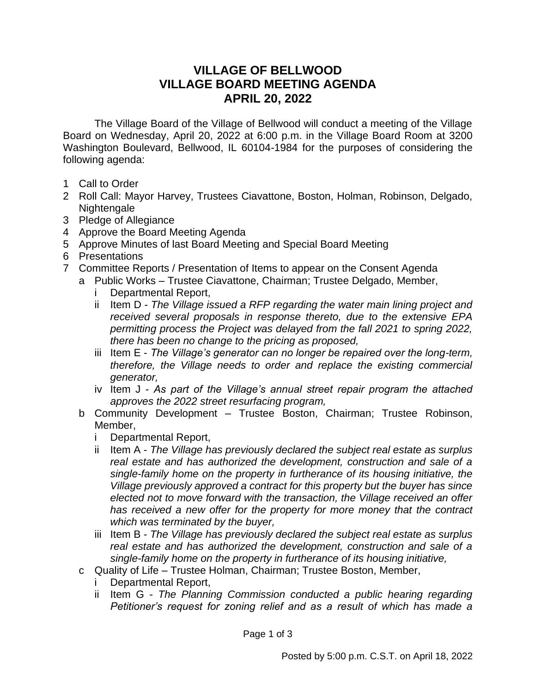## **VILLAGE OF BELLWOOD VILLAGE BOARD MEETING AGENDA APRIL 20, 2022**

The Village Board of the Village of Bellwood will conduct a meeting of the Village Board on Wednesday, April 20, 2022 at 6:00 p.m. in the Village Board Room at 3200 Washington Boulevard, Bellwood, IL 60104-1984 for the purposes of considering the following agenda:

- 1 Call to Order
- 2 Roll Call: Mayor Harvey, Trustees Ciavattone, Boston, Holman, Robinson, Delgado, Nightengale
- 3 Pledge of Allegiance
- 4 Approve the Board Meeting Agenda
- 5 Approve Minutes of last Board Meeting and Special Board Meeting
- 6 Presentations
- 7 Committee Reports / Presentation of Items to appear on the Consent Agenda
	- a Public Works Trustee Ciavattone, Chairman; Trustee Delgado, Member,
		- i Departmental Report,
		- ii Item D *The Village issued a RFP regarding the water main lining project and received several proposals in response thereto, due to the extensive EPA permitting process the Project was delayed from the fall 2021 to spring 2022, there has been no change to the pricing as proposed,*
		- iii Item E *The Village's generator can no longer be repaired over the long-term, therefore, the Village needs to order and replace the existing commercial generator,*
		- iv Item J *As part of the Village's annual street repair program the attached approves the 2022 street resurfacing program,*
		- b Community Development Trustee Boston, Chairman; Trustee Robinson, Member,
			- i Departmental Report,
			- ii Item A *The Village has previously declared the subject real estate as surplus real estate and has authorized the development, construction and sale of a single-family home on the property in furtherance of its housing initiative, the Village previously approved a contract for this property but the buyer has since elected not to move forward with the transaction, the Village received an offer has received a new offer for the property for more money that the contract which was terminated by the buyer,*
			- iii Item B *The Village has previously declared the subject real estate as surplus real estate and has authorized the development, construction and sale of a single-family home on the property in furtherance of its housing initiative,*
		- c Quality of Life Trustee Holman, Chairman; Trustee Boston, Member,
			- Departmental Report,
			- ii Item G *The Planning Commission conducted a public hearing regarding Petitioner's request for zoning relief and as a result of which has made a*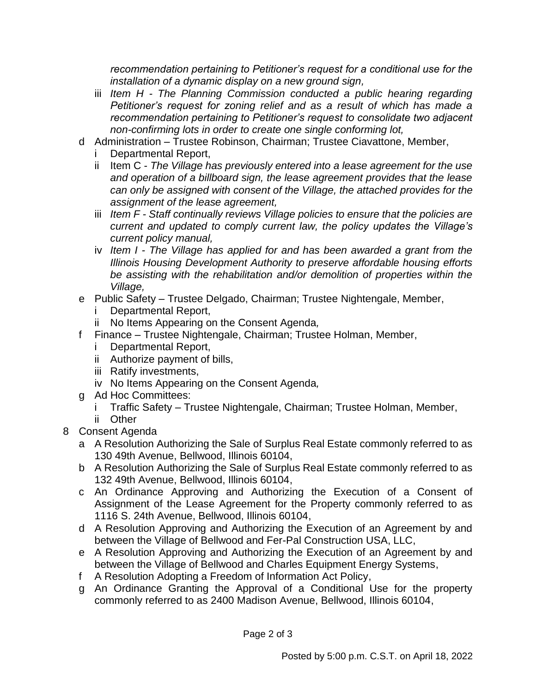*recommendation pertaining to Petitioner's request for a conditional use for the installation of a dynamic display on a new ground sign,*

- iii *Item H - The Planning Commission conducted a public hearing regarding Petitioner's request for zoning relief and as a result of which has made a recommendation pertaining to Petitioner's request to consolidate two adjacent non-confirming lots in order to create one single conforming lot,*
- d Administration Trustee Robinson, Chairman; Trustee Ciavattone, Member,
	- Departmental Report,
	- ii Item C *The Village has previously entered into a lease agreement for the use and operation of a billboard sign, the lease agreement provides that the lease can only be assigned with consent of the Village, the attached provides for the assignment of the lease agreement,*
	- iii *Item F - Staff continually reviews Village policies to ensure that the policies are current and updated to comply current law, the policy updates the Village's current policy manual,*
	- iv *Item I - The Village has applied for and has been awarded a grant from the Illinois Housing Development Authority to preserve affordable housing efforts be assisting with the rehabilitation and/or demolition of properties within the Village,*
- e Public Safety Trustee Delgado, Chairman; Trustee Nightengale, Member,
	- Departmental Report,
	- ii No Items Appearing on the Consent Agenda*,*
- f Finance Trustee Nightengale, Chairman; Trustee Holman, Member,
	- i Departmental Report,
	- ii Authorize payment of bills,
	- iii Ratify investments,
	- iv No Items Appearing on the Consent Agenda*,*
- g Ad Hoc Committees:
	- i Traffic Safety Trustee Nightengale, Chairman; Trustee Holman, Member,
	- ii Other
- 8 Consent Agenda
	- a A Resolution Authorizing the Sale of Surplus Real Estate commonly referred to as 130 49th Avenue, Bellwood, Illinois 60104,
	- b A Resolution Authorizing the Sale of Surplus Real Estate commonly referred to as 132 49th Avenue, Bellwood, Illinois 60104,
	- c An Ordinance Approving and Authorizing the Execution of a Consent of Assignment of the Lease Agreement for the Property commonly referred to as 1116 S. 24th Avenue, Bellwood, Illinois 60104,
	- d A Resolution Approving and Authorizing the Execution of an Agreement by and between the Village of Bellwood and Fer-Pal Construction USA, LLC,
	- e A Resolution Approving and Authorizing the Execution of an Agreement by and between the Village of Bellwood and Charles Equipment Energy Systems,
	- f A Resolution Adopting a Freedom of Information Act Policy,
	- g An Ordinance Granting the Approval of a Conditional Use for the property commonly referred to as 2400 Madison Avenue, Bellwood, Illinois 60104,